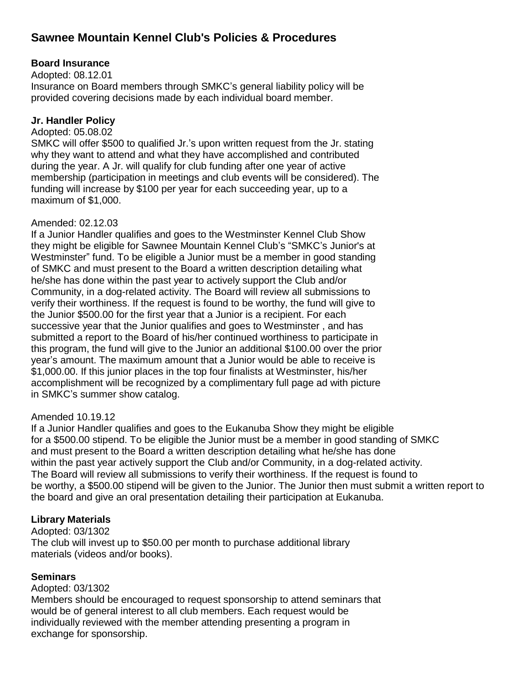# **Sawnee Mountain Kennel Club's Policies & Procedures**

# **Board Insurance**

Adopted: 08.12.01

Insurance on Board members through SMKC's general liability policy will be provided covering decisions made by each individual board member.

# **Jr. Handler Policy**

#### Adopted: 05.08.02

SMKC will offer \$500 to qualified Jr.'s upon written request from the Jr. stating why they want to attend and what they have accomplished and contributed during the year. A Jr. will qualify for club funding after one year of active membership (participation in meetings and club events will be considered). The funding will increase by \$100 per year for each succeeding year, up to a maximum of \$1,000.

### Amended: 02.12.03

If a Junior Handler qualifies and goes to the Westminster Kennel Club Show they might be eligible for Sawnee Mountain Kennel Club's "SMKC's Junior's at Westminster" fund. To be eligible a Junior must be a member in good standing of SMKC and must present to the Board a written description detailing what he/she has done within the past year to actively support the Club and/or Community, in a dog-related activity. The Board will review all submissions to verify their worthiness. If the request is found to be worthy, the fund will give to the Junior \$500.00 for the first year that a Junior is a recipient. For each successive year that the Junior qualifies and goes to Westminster , and has submitted a report to the Board of his/her continued worthiness to participate in this program, the fund will give to the Junior an additional \$100.00 over the prior year's amount. The maximum amount that a Junior would be able to receive is \$1,000.00. If this junior places in the top four finalists at Westminster, his/her accomplishment will be recognized by a complimentary full page ad with picture in SMKC's summer show catalog.

### Amended 10.19.12

If a Junior Handler qualifies and goes to the Eukanuba Show they might be eligible for a \$500.00 stipend. To be eligible the Junior must be a member in good standing of SMKC and must present to the Board a written description detailing what he/she has done within the past year actively support the Club and/or Community, in a dog-related activity. The Board will review all submissions to verify their worthiness. If the request is found to be worthy, a \$500.00 stipend will be given to the Junior. The Junior then must submit a written report to the board and give an oral presentation detailing their participation at Eukanuba.

### **Library Materials**

Adopted: 03/1302 The club will invest up to \$50.00 per month to purchase additional library materials (videos and/or books).

### **Seminars**

Adopted: 03/1302

Members should be encouraged to request sponsorship to attend seminars that would be of general interest to all club members. Each request would be individually reviewed with the member attending presenting a program in exchange for sponsorship.